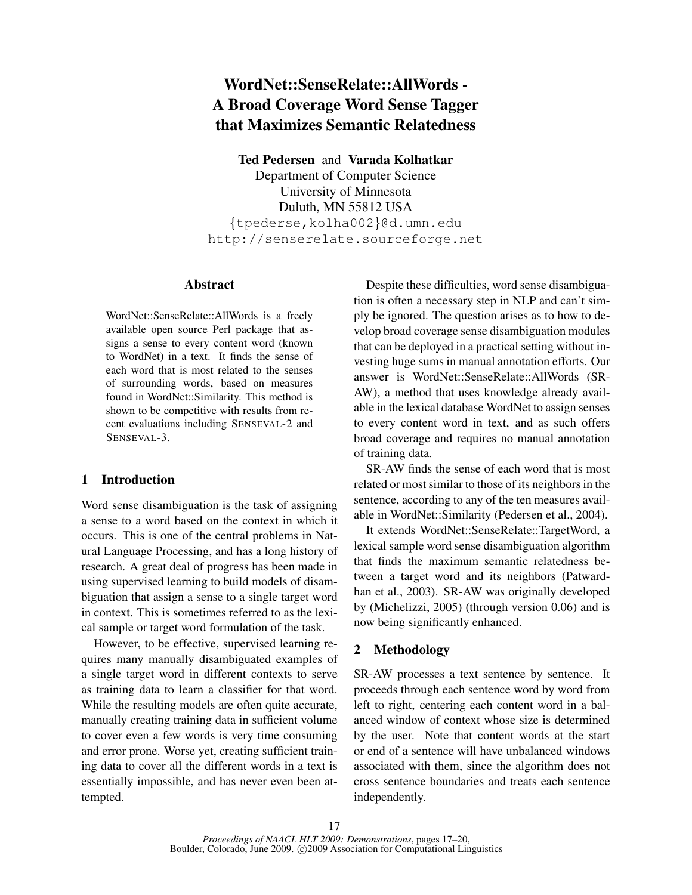# **WordNet::SenseRelate::AllWords - A Broad Coverage Word Sense Tagger that Maximizes Semantic Relatedness**

**Ted Pedersen** and **Varada Kolhatkar**

Department of Computer Science University of Minnesota Duluth, MN 55812 USA {tpederse,kolha002}@d.umn.edu http://senserelate.sourceforge.net

#### **Abstract**

WordNet::SenseRelate::AllWords is a freely available open source Perl package that assigns a sense to every content word (known to WordNet) in a text. It finds the sense of each word that is most related to the senses of surrounding words, based on measures found in WordNet::Similarity. This method is shown to be competitive with results from recent evaluations including SENSEVAL-2 and SENSEVAL-3.

## **1 Introduction**

Word sense disambiguation is the task of assigning a sense to a word based on the context in which it occurs. This is one of the central problems in Natural Language Processing, and has a long history of research. A great deal of progress has been made in using supervised learning to build models of disambiguation that assign a sense to a single target word in context. This is sometimes referred to as the lexical sample or target word formulation of the task.

However, to be effective, supervised learning requires many manually disambiguated examples of a single target word in different contexts to serve as training data to learn a classifier for that word. While the resulting models are often quite accurate, manually creating training data in sufficient volume to cover even a few words is very time consuming and error prone. Worse yet, creating sufficient training data to cover all the different words in a text is essentially impossible, and has never even been attempted.

Despite these difficulties, word sense disambiguation is often a necessary step in NLP and can't simply be ignored. The question arises as to how to develop broad coverage sense disambiguation modules that can be deployed in a practical setting without investing huge sums in manual annotation efforts. Our answer is WordNet::SenseRelate::AllWords (SR-AW), a method that uses knowledge already available in the lexical database WordNet to assign senses to every content word in text, and as such offers broad coverage and requires no manual annotation of training data.

SR-AW finds the sense of each word that is most related or most similar to those of its neighbors in the sentence, according to any of the ten measures available in WordNet::Similarity (Pedersen et al., 2004).

It extends WordNet::SenseRelate::TargetWord, a lexical sample word sense disambiguation algorithm that finds the maximum semantic relatedness between a target word and its neighbors (Patwardhan et al., 2003). SR-AW was originally developed by (Michelizzi, 2005) (through version 0.06) and is now being significantly enhanced.

# **2 Methodology**

SR-AW processes a text sentence by sentence. It proceeds through each sentence word by word from left to right, centering each content word in a balanced window of context whose size is determined by the user. Note that content words at the start or end of a sentence will have unbalanced windows associated with them, since the algorithm does not cross sentence boundaries and treats each sentence independently.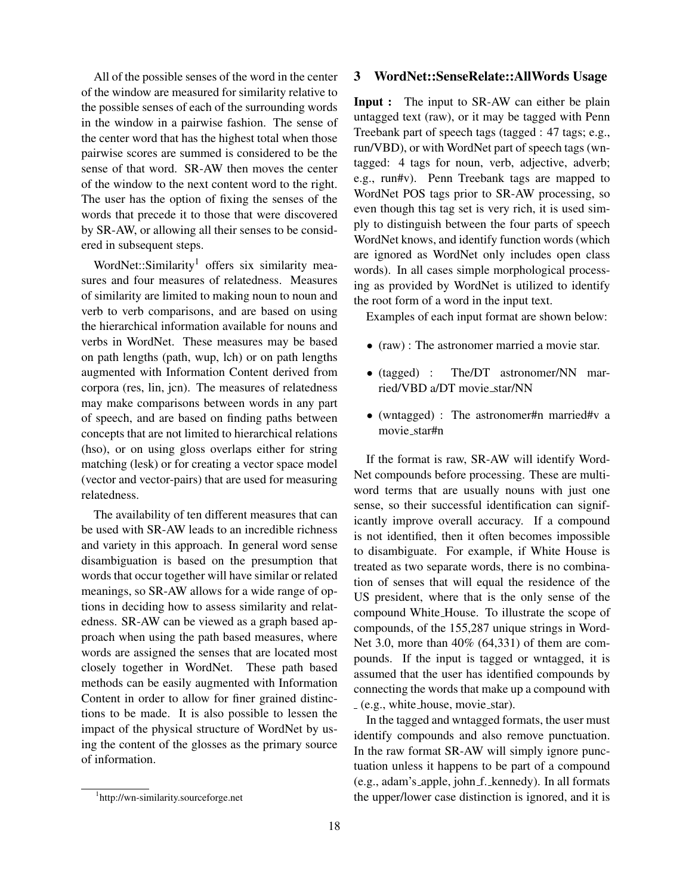All of the possible senses of the word in the center of the window are measured for similarity relative to the possible senses of each of the surrounding words in the window in a pairwise fashion. The sense of the center word that has the highest total when those pairwise scores are summed is considered to be the sense of that word. SR-AW then moves the center of the window to the next content word to the right. The user has the option of fixing the senses of the words that precede it to those that were discovered by SR-AW, or allowing all their senses to be considered in subsequent steps.

WordNet::Similarity<sup>1</sup> offers six similarity measures and four measures of relatedness. Measures of similarity are limited to making noun to noun and verb to verb comparisons, and are based on using the hierarchical information available for nouns and verbs in WordNet. These measures may be based on path lengths (path, wup, lch) or on path lengths augmented with Information Content derived from corpora (res, lin, jcn). The measures of relatedness may make comparisons between words in any part of speech, and are based on finding paths between concepts that are not limited to hierarchical relations (hso), or on using gloss overlaps either for string matching (lesk) or for creating a vector space model (vector and vector-pairs) that are used for measuring relatedness.

The availability of ten different measures that can be used with SR-AW leads to an incredible richness and variety in this approach. In general word sense disambiguation is based on the presumption that words that occur together will have similar or related meanings, so SR-AW allows for a wide range of options in deciding how to assess similarity and relatedness. SR-AW can be viewed as a graph based approach when using the path based measures, where words are assigned the senses that are located most closely together in WordNet. These path based methods can be easily augmented with Information Content in order to allow for finer grained distinctions to be made. It is also possible to lessen the impact of the physical structure of WordNet by using the content of the glosses as the primary source of information.

#### **3 WordNet::SenseRelate::AllWords Usage**

**Input :** The input to SR-AW can either be plain untagged text (raw), or it may be tagged with Penn Treebank part of speech tags (tagged : 47 tags; e.g., run/VBD), or with WordNet part of speech tags (wntagged: 4 tags for noun, verb, adjective, adverb; e.g., run#v). Penn Treebank tags are mapped to WordNet POS tags prior to SR-AW processing, so even though this tag set is very rich, it is used simply to distinguish between the four parts of speech WordNet knows, and identify function words (which are ignored as WordNet only includes open class words). In all cases simple morphological processing as provided by WordNet is utilized to identify the root form of a word in the input text.

Examples of each input format are shown below:

- (raw) : The astronomer married a movie star.
- (tagged) : The/DT astronomer/NN married/VBD a/DT movie star/NN
- (wntagged) : The astronomer#n married#v a movie star#n

If the format is raw, SR-AW will identify Word-Net compounds before processing. These are multiword terms that are usually nouns with just one sense, so their successful identification can significantly improve overall accuracy. If a compound is not identified, then it often becomes impossible to disambiguate. For example, if White House is treated as two separate words, there is no combination of senses that will equal the residence of the US president, where that is the only sense of the compound White House. To illustrate the scope of compounds, of the 155,287 unique strings in Word-Net 3.0, more than 40% (64,331) of them are compounds. If the input is tagged or wntagged, it is assumed that the user has identified compounds by connecting the words that make up a compound with (e.g., white house, movie star).

In the tagged and wntagged formats, the user must identify compounds and also remove punctuation. In the raw format SR-AW will simply ignore punctuation unless it happens to be part of a compound (e.g., adam's apple, john f. kennedy). In all formats the upper/lower case distinction is ignored, and it is

<sup>1</sup> http://wn-similarity.sourceforge.net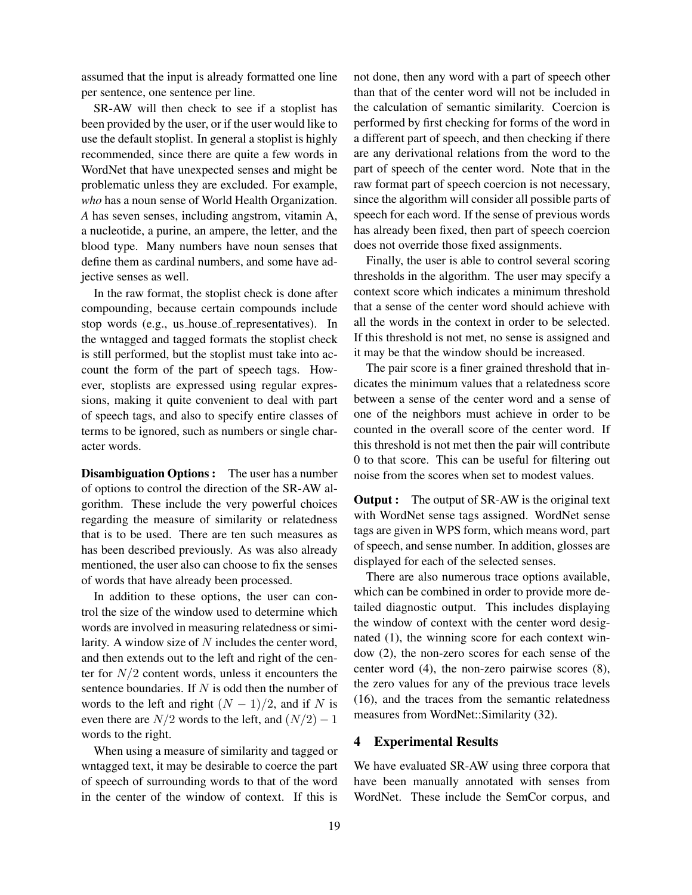assumed that the input is already formatted one line per sentence, one sentence per line.

SR-AW will then check to see if a stoplist has been provided by the user, or if the user would like to use the default stoplist. In general a stoplist is highly recommended, since there are quite a few words in WordNet that have unexpected senses and might be problematic unless they are excluded. For example, *who* has a noun sense of World Health Organization. *A* has seven senses, including angstrom, vitamin A, a nucleotide, a purine, an ampere, the letter, and the blood type. Many numbers have noun senses that define them as cardinal numbers, and some have adjective senses as well.

In the raw format, the stoplist check is done after compounding, because certain compounds include stop words (e.g., us house of representatives). In the wntagged and tagged formats the stoplist check is still performed, but the stoplist must take into account the form of the part of speech tags. However, stoplists are expressed using regular expressions, making it quite convenient to deal with part of speech tags, and also to specify entire classes of terms to be ignored, such as numbers or single character words.

**Disambiguation Options :** The user has a number of options to control the direction of the SR-AW algorithm. These include the very powerful choices regarding the measure of similarity or relatedness that is to be used. There are ten such measures as has been described previously. As was also already mentioned, the user also can choose to fix the senses of words that have already been processed.

In addition to these options, the user can control the size of the window used to determine which words are involved in measuring relatedness or similarity. A window size of N includes the center word, and then extends out to the left and right of the center for  $N/2$  content words, unless it encounters the sentence boundaries. If N is odd then the number of words to the left and right  $(N - 1)/2$ , and if N is even there are  $N/2$  words to the left, and  $(N/2) - 1$ words to the right.

When using a measure of similarity and tagged or wntagged text, it may be desirable to coerce the part of speech of surrounding words to that of the word in the center of the window of context. If this is not done, then any word with a part of speech other than that of the center word will not be included in the calculation of semantic similarity. Coercion is performed by first checking for forms of the word in a different part of speech, and then checking if there are any derivational relations from the word to the part of speech of the center word. Note that in the raw format part of speech coercion is not necessary, since the algorithm will consider all possible parts of speech for each word. If the sense of previous words has already been fixed, then part of speech coercion does not override those fixed assignments.

Finally, the user is able to control several scoring thresholds in the algorithm. The user may specify a context score which indicates a minimum threshold that a sense of the center word should achieve with all the words in the context in order to be selected. If this threshold is not met, no sense is assigned and it may be that the window should be increased.

The pair score is a finer grained threshold that indicates the minimum values that a relatedness score between a sense of the center word and a sense of one of the neighbors must achieve in order to be counted in the overall score of the center word. If this threshold is not met then the pair will contribute 0 to that score. This can be useful for filtering out noise from the scores when set to modest values.

**Output :** The output of SR-AW is the original text with WordNet sense tags assigned. WordNet sense tags are given in WPS form, which means word, part of speech, and sense number. In addition, glosses are displayed for each of the selected senses.

There are also numerous trace options available, which can be combined in order to provide more detailed diagnostic output. This includes displaying the window of context with the center word designated (1), the winning score for each context window (2), the non-zero scores for each sense of the center word (4), the non-zero pairwise scores (8), the zero values for any of the previous trace levels (16), and the traces from the semantic relatedness measures from WordNet::Similarity (32).

#### **4 Experimental Results**

We have evaluated SR-AW using three corpora that have been manually annotated with senses from WordNet. These include the SemCor corpus, and